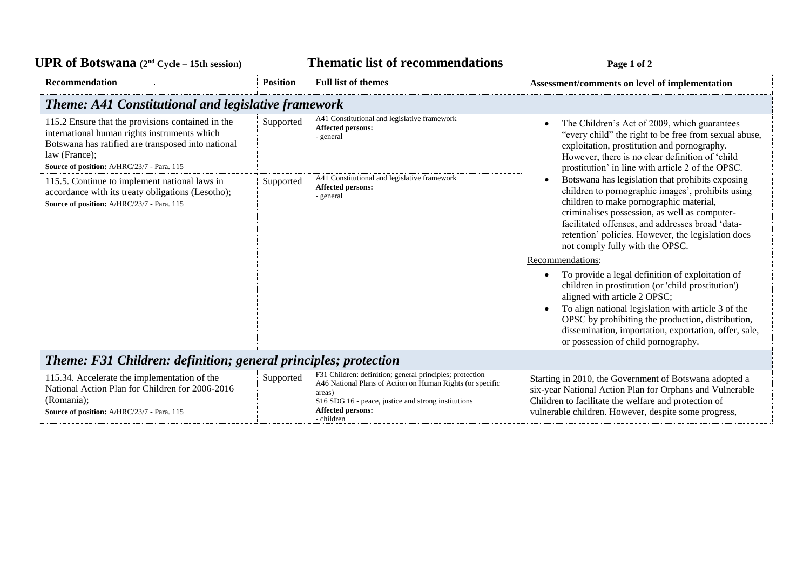## UPR of Botswana  $(2^{nd} \text{ Cycle} - 15th \text{ session})$  **Thematic list of recommendations Page 1** of 2

| Recommendation                                                                                                                                                                                                         | <b>Position</b> | <b>Full list of themes</b>                                                                                                                                                                                                       | Assessment/comments on level of implementation                                                                                                                                                                                                                                                                                                                                      |  |  |
|------------------------------------------------------------------------------------------------------------------------------------------------------------------------------------------------------------------------|-----------------|----------------------------------------------------------------------------------------------------------------------------------------------------------------------------------------------------------------------------------|-------------------------------------------------------------------------------------------------------------------------------------------------------------------------------------------------------------------------------------------------------------------------------------------------------------------------------------------------------------------------------------|--|--|
| <b>Theme: A41 Constitutional and legislative framework</b>                                                                                                                                                             |                 |                                                                                                                                                                                                                                  |                                                                                                                                                                                                                                                                                                                                                                                     |  |  |
| 115.2 Ensure that the provisions contained in the<br>international human rights instruments which<br>Botswana has ratified are transposed into national<br>law (France);<br>Source of position: A/HRC/23/7 - Para. 115 | Supported       | A41 Constitutional and legislative framework<br><b>Affected persons:</b><br>- general                                                                                                                                            | The Children's Act of 2009, which guarantees<br>$\bullet$<br>"every child" the right to be free from sexual abuse,<br>exploitation, prostitution and pornography.<br>However, there is no clear definition of 'child<br>prostitution' in line with article 2 of the OPSC.                                                                                                           |  |  |
| 115.5. Continue to implement national laws in<br>accordance with its treaty obligations (Lesotho);<br>Source of position: A/HRC/23/7 - Para. 115                                                                       | Supported       | A41 Constitutional and legislative framework<br><b>Affected persons:</b><br>- general                                                                                                                                            | Botswana has legislation that prohibits exposing<br>$\bullet$<br>children to pornographic images', prohibits using<br>children to make pornographic material,<br>criminalises possession, as well as computer-<br>facilitated offenses, and addresses broad 'data-<br>retention' policies. However, the legislation does<br>not comply fully with the OPSC.                         |  |  |
|                                                                                                                                                                                                                        |                 |                                                                                                                                                                                                                                  | Recommendations:<br>To provide a legal definition of exploitation of<br>$\bullet$<br>children in prostitution (or 'child prostitution')<br>aligned with article 2 OPSC;<br>To align national legislation with article 3 of the<br>OPSC by prohibiting the production, distribution,<br>dissemination, importation, exportation, offer, sale,<br>or possession of child pornography. |  |  |
| <b>Theme: F31 Children: definition; general principles; protection</b>                                                                                                                                                 |                 |                                                                                                                                                                                                                                  |                                                                                                                                                                                                                                                                                                                                                                                     |  |  |
| 115.34. Accelerate the implementation of the<br>National Action Plan for Children for 2006-2016<br>(Romania);<br>Source of position: A/HRC/23/7 - Para. 115                                                            | Supported       | F31 Children: definition; general principles; protection<br>A46 National Plans of Action on Human Rights (or specific<br>areas)<br>S16 SDG 16 - peace, justice and strong institutions<br><b>Affected persons:</b><br>- children | Starting in 2010, the Government of Botswana adopted a<br>six-year National Action Plan for Orphans and Vulnerable<br>Children to facilitate the welfare and protection of<br>vulnerable children. However, despite some progress,                                                                                                                                                  |  |  |